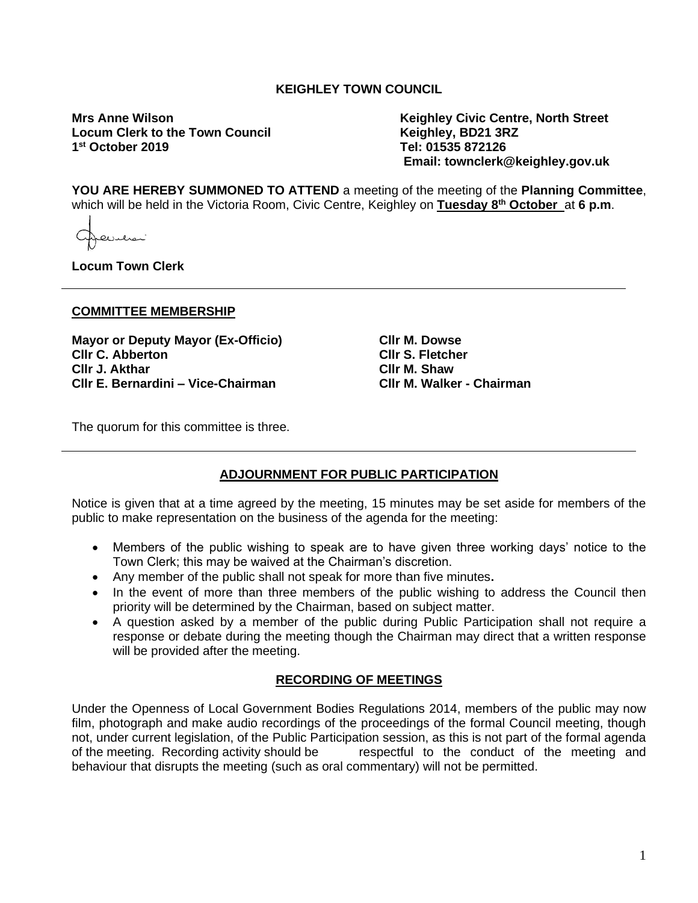## **KEIGHLEY TOWN COUNCIL**

**Locum Clerk to the Town Council** 1<sup>st</sup> October 2019

**Mrs Anne Wilson Keighley Civic Centre, North Street st October 2019 Tel: 01535 872126 Email: townclerk@keighley.gov.uk**

**YOU ARE HEREBY SUMMONED TO ATTEND** a meeting of the meeting of the **Planning Committee**, which will be held in the Victoria Room, Civic Centre, Keighley on **Tuesday 8 th October** at **6 p.m**.

فلتتلمص

**Locum Town Clerk**

#### **COMMITTEE MEMBERSHIP**

**Mayor or Deputy Mayor (Ex-Officio) Cllr C. Abberton Cllr J. Akthar Cllr E. Bernardini – Vice-Chairman**

**Cllr M. Dowse Cllr S. Fletcher Cllr M. Shaw Cllr M. Walker - Chairman**

The quorum for this committee is three.

### **ADJOURNMENT FOR PUBLIC PARTICIPATION**

Notice is given that at a time agreed by the meeting, 15 minutes may be set aside for members of the public to make representation on the business of the agenda for the meeting:

- Members of the public wishing to speak are to have given three working days' notice to the Town Clerk; this may be waived at the Chairman's discretion.
- Any member of the public shall not speak for more than five minutes**.**
- In the event of more than three members of the public wishing to address the Council then priority will be determined by the Chairman, based on subject matter.
- A question asked by a member of the public during Public Participation shall not require a response or debate during the meeting though the Chairman may direct that a written response will be provided after the meeting.

#### **RECORDING OF MEETINGS**

Under the Openness of Local Government Bodies Regulations 2014, members of the public may now film, photograph and make audio recordings of the proceedings of the formal Council meeting, though not, under current legislation, of the Public Participation session, as this is not part of the formal agenda of the meeting. Recording activity should be respectful to the conduct of the meeting and behaviour that disrupts the meeting (such as oral commentary) will not be permitted.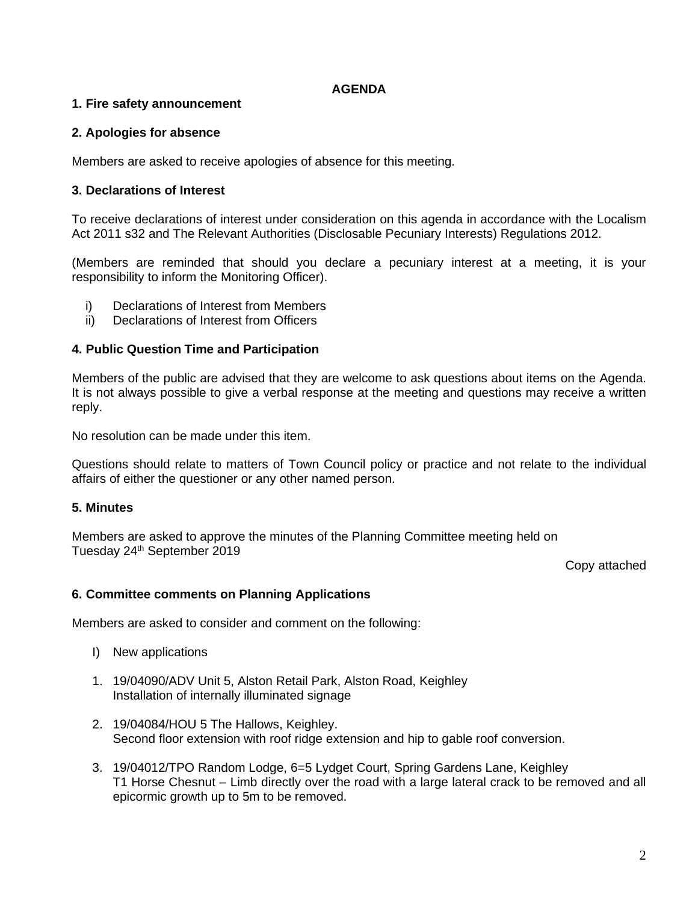#### **AGENDA**

### **1. Fire safety announcement**

### **2. Apologies for absence**

Members are asked to receive apologies of absence for this meeting.

### **3. Declarations of Interest**

To receive declarations of interest under consideration on this agenda in accordance with the Localism Act 2011 s32 and The Relevant Authorities (Disclosable Pecuniary Interests) Regulations 2012.

(Members are reminded that should you declare a pecuniary interest at a meeting, it is your responsibility to inform the Monitoring Officer).

- i) Declarations of Interest from Members
- ii) Declarations of Interest from Officers

### **4. Public Question Time and Participation**

Members of the public are advised that they are welcome to ask questions about items on the Agenda. It is not always possible to give a verbal response at the meeting and questions may receive a written reply.

No resolution can be made under this item.

Questions should relate to matters of Town Council policy or practice and not relate to the individual affairs of either the questioner or any other named person.

### **5. Minutes**

Members are asked to approve the minutes of the Planning Committee meeting held on Tuesday 24<sup>th</sup> September 2019

Copy attached

### **6. Committee comments on Planning Applications**

Members are asked to consider and comment on the following:

- I) New applications
- 1. 19/04090/ADV Unit 5, Alston Retail Park, Alston Road, Keighley Installation of internally illuminated signage
- 2. 19/04084/HOU 5 The Hallows, Keighley. Second floor extension with roof ridge extension and hip to gable roof conversion.
- 3. 19/04012/TPO Random Lodge, 6=5 Lydget Court, Spring Gardens Lane, Keighley T1 Horse Chesnut – Limb directly over the road with a large lateral crack to be removed and all epicormic growth up to 5m to be removed.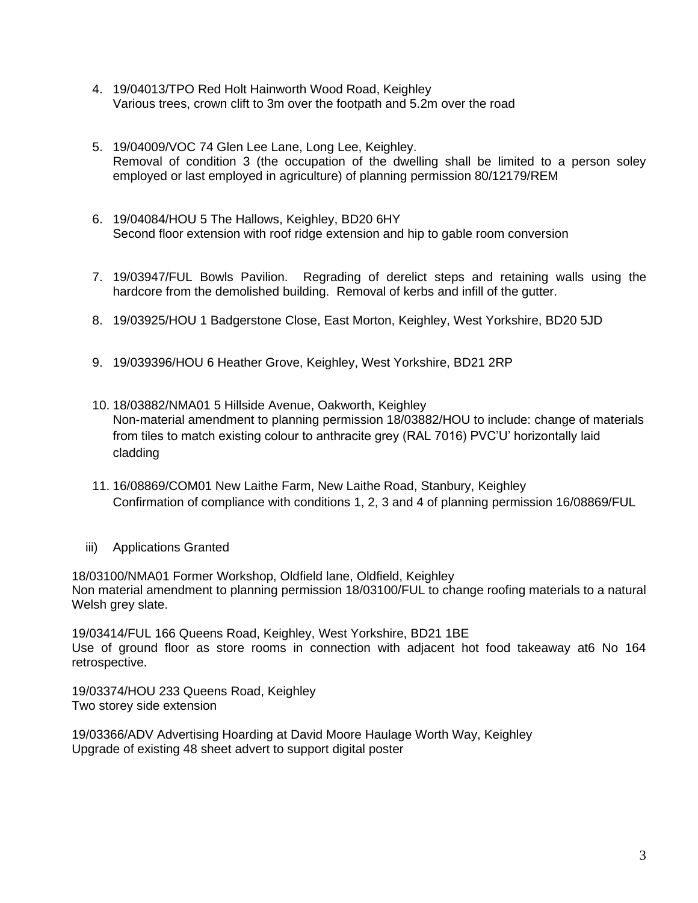- 4. 19/04013/TPO Red Holt Hainworth Wood Road, Keighley Various trees, crown clift to 3m over the footpath and 5.2m over the road
- 5. 19/04009/VOC 74 Glen Lee Lane, Long Lee, Keighley. Removal of condition 3 (the occupation of the dwelling shall be limited to a person soley employed or last employed in agriculture) of planning permission 80/12179/REM
- 6. 19/04084/HOU 5 The Hallows, Keighley, BD20 6HY Second floor extension with roof ridge extension and hip to gable room conversion
- 7. 19/03947/FUL Bowls Pavilion. Regrading of derelict steps and retaining walls using the hardcore from the demolished building. Removal of kerbs and infill of the gutter.
- 8. 19/03925/HOU 1 Badgerstone Close, East Morton, Keighley, West Yorkshire, BD20 5JD
- 9. 19/039396/HOU 6 Heather Grove, Keighley, West Yorkshire, BD21 2RP
- 10. 18/03882/NMA01 5 Hillside Avenue, Oakworth, Keighley Non-material amendment to planning permission 18/03882/HOU to include: change of materials from tiles to match existing colour to anthracite grey (RAL 7016) PVC'U' horizontally laid cladding
- 11. 16/08869/COM01 New Laithe Farm, New Laithe Road, Stanbury, Keighley Confirmation of compliance with conditions 1, 2, 3 and 4 of planning permission 16/08869/FUL
- iii) Applications Granted

18/03100/NMA01 Former Workshop, Oldfield lane, Oldfield, Keighley Non material amendment to planning permission 18/03100/FUL to change roofing materials to a natural Welsh grey slate.

19/03414/FUL 166 Queens Road, Keighley, West Yorkshire, BD21 1BE Use of ground floor as store rooms in connection with adjacent hot food takeaway at6 No 164 retrospective.

19/03374/HOU 233 Queens Road, Keighley Two storey side extension

19/03366/ADV Advertising Hoarding at David Moore Haulage Worth Way, Keighley Upgrade of existing 48 sheet advert to support digital poster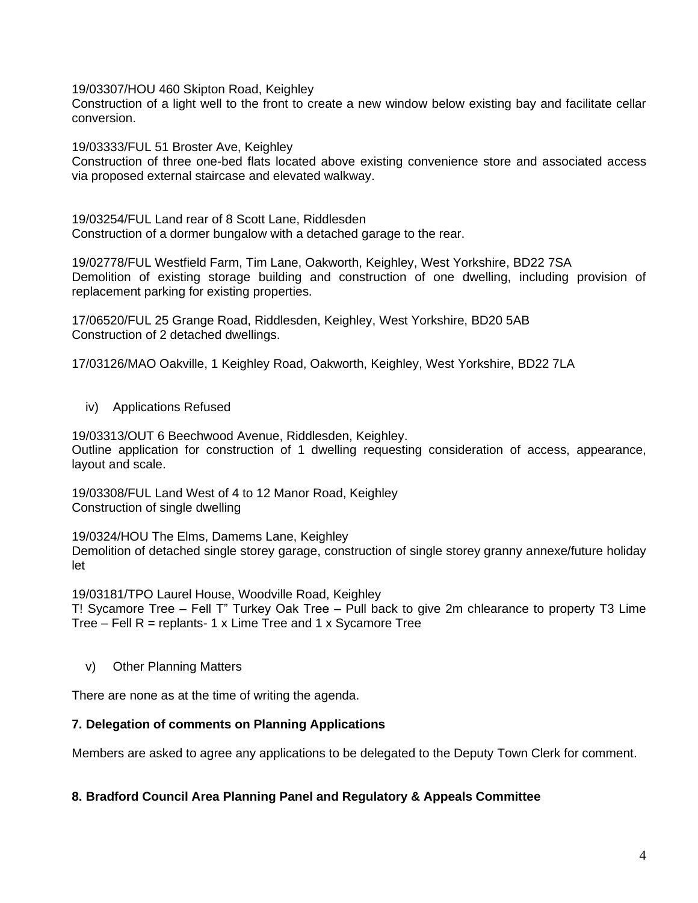19/03307/HOU 460 Skipton Road, Keighley

Construction of a light well to the front to create a new window below existing bay and facilitate cellar conversion.

19/03333/FUL 51 Broster Ave, Keighley

Construction of three one-bed flats located above existing convenience store and associated access via proposed external staircase and elevated walkway.

19/03254/FUL Land rear of 8 Scott Lane, Riddlesden Construction of a dormer bungalow with a detached garage to the rear.

19/02778/FUL Westfield Farm, Tim Lane, Oakworth, Keighley, West Yorkshire, BD22 7SA Demolition of existing storage building and construction of one dwelling, including provision of replacement parking for existing properties.

17/06520/FUL 25 Grange Road, Riddlesden, Keighley, West Yorkshire, BD20 5AB Construction of 2 detached dwellings.

17/03126/MAO Oakville, 1 Keighley Road, Oakworth, Keighley, West Yorkshire, BD22 7LA

iv) Applications Refused

19/03313/OUT 6 Beechwood Avenue, Riddlesden, Keighley. Outline application for construction of 1 dwelling requesting consideration of access, appearance, layout and scale.

19/03308/FUL Land West of 4 to 12 Manor Road, Keighley Construction of single dwelling

19/0324/HOU The Elms, Damems Lane, Keighley Demolition of detached single storey garage, construction of single storey granny annexe/future holiday let

19/03181/TPO Laurel House, Woodville Road, Keighley T! Sycamore Tree – Fell T" Turkey Oak Tree – Pull back to give 2m chlearance to property T3 Lime Tree – Fell  $R$  = replants- 1 x Lime Tree and 1 x Sycamore Tree

v) Other Planning Matters

There are none as at the time of writing the agenda.

### **7. Delegation of comments on Planning Applications**

Members are asked to agree any applications to be delegated to the Deputy Town Clerk for comment.

### **8. Bradford Council Area Planning Panel and Regulatory & Appeals Committee**